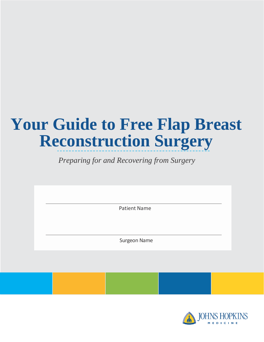# **Your Guide to Free Flap Breast Reconstruction Surgery**

 *Preparing for and Recovering from Surgery*

Patient Name

Surgeon Name

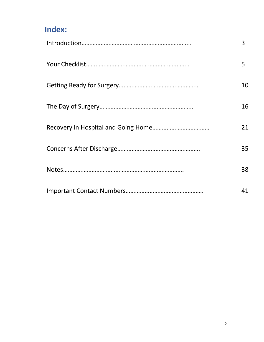#### **Index:**

| 3  |
|----|
| 5  |
| 10 |
| 16 |
| 21 |
| 35 |
| 38 |
| 41 |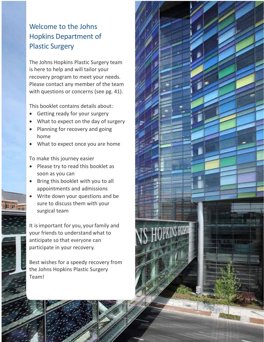#### Welcome to the Johns Hopkins Department of Plastic Surgery

The Johns Hopkins Plastic Surgery team is here to help and will tailor your recovery program to meet your needs. Please contact any member of the team with questions or concerns (see pg. 41).

This booklet contains details about:

- Getting ready for your surgery
- What to expect on the day of surgery
- Planning for recovery and going home
- What to expect once you are home

To make this journey easier

- Please try to read this booklet as soon as you can
- Bring this booklet with you to all appointments and admissions
- Write down your questions and be sure to discuss them with your surgical team

It is important for you, your family and your friends to understand what to anticipate so that everyone can participate in your recovery.

Best wishes for a speedy recovery from the Johns Hopkins Plastic Surgery Team!

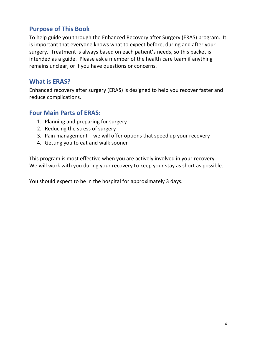#### **Purpose of This Book**

To help guide you through the Enhanced Recovery after Surgery (ERAS) program. It is important that everyone knows what to expect before, during and after your surgery. Treatment is always based on each patient's needs, so this packet is intended as a guide. Please ask a member of the health care team if anything remains unclear, or if you have questions or concerns.

#### **What is ERAS?**

Enhanced recovery after surgery (ERAS) is designed to help you recover faster and reduce complications.

#### **Four Main Parts of ERAS:**

- 1. Planning and preparing for surgery
- 2. Reducing the stress of surgery
- 3. Pain management we will offer options that speed up your recovery
- 4. Getting you to eat and walk sooner

This program is most effective when you are actively involved in your recovery. We will work with you during your recovery to keep your stay as short as possible.

You should expect to be in the hospital for approximately 3 days.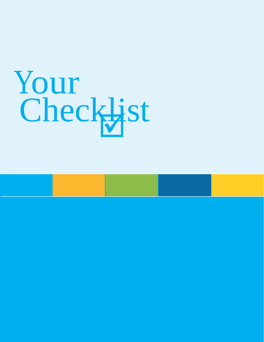# Your Checklist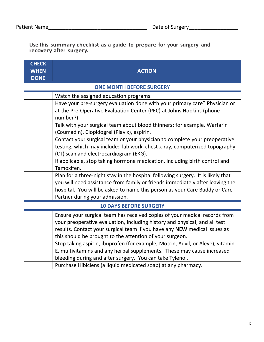**Use this summary checklist as a guide to prepare for your surgery and recovery after surgery.**

| <b>CHECK</b>                    |                                                                                                                        |  |  |  |  |  |  |
|---------------------------------|------------------------------------------------------------------------------------------------------------------------|--|--|--|--|--|--|
| <b>WHEN</b>                     | <b>ACTION</b>                                                                                                          |  |  |  |  |  |  |
| <b>DONE</b>                     |                                                                                                                        |  |  |  |  |  |  |
| <b>ONE MONTH BEFORE SURGERY</b> |                                                                                                                        |  |  |  |  |  |  |
|                                 | Watch the assigned education programs.                                                                                 |  |  |  |  |  |  |
|                                 | Have your pre-surgery evaluation done with your primary care? Physician or                                             |  |  |  |  |  |  |
|                                 | at the Pre-Operative Evaluation Center (PEC) at Johns Hopkins (phone<br>number?).                                      |  |  |  |  |  |  |
|                                 | Talk with your surgical team about blood thinners; for example, Warfarin<br>(Coumadin), Clopidogrel (Plavix), aspirin. |  |  |  |  |  |  |
|                                 | Contact your surgical team or your physician to complete your preoperative                                             |  |  |  |  |  |  |
|                                 | testing, which may include: lab work, chest x-ray, computerized topography                                             |  |  |  |  |  |  |
|                                 | (CT) scan and electrocardiogram (EKG).                                                                                 |  |  |  |  |  |  |
|                                 | If applicable, stop taking hormone medication, including birth control and                                             |  |  |  |  |  |  |
|                                 | Tamoxifen.                                                                                                             |  |  |  |  |  |  |
|                                 | Plan for a three-night stay in the hospital following surgery. It is likely that                                       |  |  |  |  |  |  |
|                                 | you will need assistance from family or friends immediately after leaving the                                          |  |  |  |  |  |  |
|                                 | hospital. You will be asked to name this person as your Care Buddy or Care                                             |  |  |  |  |  |  |
|                                 | Partner during your admission.                                                                                         |  |  |  |  |  |  |
|                                 | <b>10 DAYS BEFORE SURGERY</b>                                                                                          |  |  |  |  |  |  |
|                                 | Ensure your surgical team has received copies of your medical records from                                             |  |  |  |  |  |  |
|                                 | your preoperative evaluation, including history and physical, and all test                                             |  |  |  |  |  |  |
|                                 | results. Contact your surgical team if you have any NEW medical issues as                                              |  |  |  |  |  |  |
|                                 | this should be brought to the attention of your surgeon.                                                               |  |  |  |  |  |  |
|                                 | Stop taking aspirin, ibuprofen (for example, Motrin, Advil, or Aleve), vitamin                                         |  |  |  |  |  |  |
|                                 | E, multivitamins and any herbal supplements. These may cause increased                                                 |  |  |  |  |  |  |
|                                 | bleeding during and after surgery. You can take Tylenol.                                                               |  |  |  |  |  |  |
|                                 | Purchase Hibiclens (a liquid medicated soap) at any pharmacy.                                                          |  |  |  |  |  |  |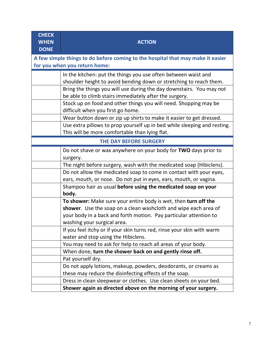| <b>CHECK</b><br><b>WHEN</b><br><b>DONE</b>                                                                       | <b>ACTION</b>                                                                                                                                                                                     |  |  |  |  |  |
|------------------------------------------------------------------------------------------------------------------|---------------------------------------------------------------------------------------------------------------------------------------------------------------------------------------------------|--|--|--|--|--|
| A few simple things to do before coming to the hospital that may make it easier<br>for you when you return home: |                                                                                                                                                                                                   |  |  |  |  |  |
|                                                                                                                  | In the kitchen: put the things you use often between waist and<br>shoulder height to avoid bending down or stretching to reach them.                                                              |  |  |  |  |  |
|                                                                                                                  | Bring the things you will use during the day downstairs. You may not<br>be able to climb stairs immediately after the surgery.                                                                    |  |  |  |  |  |
|                                                                                                                  | Stock up on food and other things you will need. Shopping may be<br>difficult when you first go home.                                                                                             |  |  |  |  |  |
|                                                                                                                  | Wear button down or zip up shirts to make it easier to get dressed.<br>Use extra pillows to prop yourself up in bed while sleeping and resting.<br>This will be more comfortable than lying flat. |  |  |  |  |  |
| THE DAY BEFORE SURGERY                                                                                           |                                                                                                                                                                                                   |  |  |  |  |  |
|                                                                                                                  | Do not shave or wax anywhere on your body for TWO days prior to<br>surgery.                                                                                                                       |  |  |  |  |  |
|                                                                                                                  | The night before surgery, wash with the medicated soap (Hibiclens).                                                                                                                               |  |  |  |  |  |
|                                                                                                                  | Do not allow the medicated soap to come in contact with your eyes,                                                                                                                                |  |  |  |  |  |
|                                                                                                                  | ears, mouth, or nose. Do not put in eyes, ears, mouth, or vagina.                                                                                                                                 |  |  |  |  |  |
|                                                                                                                  | Shampoo hair as usual before using the medicated soap on your<br>body.                                                                                                                            |  |  |  |  |  |
|                                                                                                                  | To shower: Make sure your entire body is wet, then turn off the                                                                                                                                   |  |  |  |  |  |
|                                                                                                                  | shower. Use the soap on a clean washcloth and wipe each area of                                                                                                                                   |  |  |  |  |  |
|                                                                                                                  | your body in a back and forth motion. Pay particular attention to<br>washing your surgical area.                                                                                                  |  |  |  |  |  |
|                                                                                                                  | If you feel itchy or if your skin turns red, rinse your skin with warm                                                                                                                            |  |  |  |  |  |
|                                                                                                                  | water and stop using the Hibiclens.                                                                                                                                                               |  |  |  |  |  |
|                                                                                                                  | You may need to ask for help to reach all areas of your body.                                                                                                                                     |  |  |  |  |  |
|                                                                                                                  | When done, turn the shower back on and gently rinse off.                                                                                                                                          |  |  |  |  |  |
|                                                                                                                  | Pat yourself dry.                                                                                                                                                                                 |  |  |  |  |  |
|                                                                                                                  | Do not apply lotions, makeup, powders, deodorants, or creams as                                                                                                                                   |  |  |  |  |  |
|                                                                                                                  | these may reduce the disinfecting effects of the soap.                                                                                                                                            |  |  |  |  |  |
|                                                                                                                  | Dress in clean sleepwear or clothes. Use clean sheets on your bed.                                                                                                                                |  |  |  |  |  |
|                                                                                                                  | Shower again as directed above on the morning of your surgery.                                                                                                                                    |  |  |  |  |  |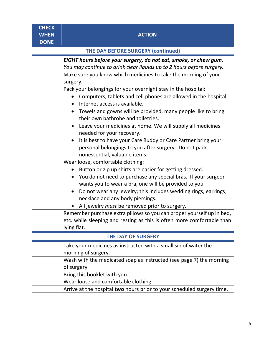**CHECK WHEN DONE ACTION THE DAY BEFORE SURGERY (continued)** *EIGHT hours before your surgery, do not eat, smoke, or chew gum. You may continue to drink clear liquids up to 2 hours before surgery.* Make sure you know which medicines to take the morning of your surgery. Pack your belongings for your overnight stay in the hospital: Computers, tablets and cell phones are allowed in the hospital. • Internet access is available. Towels and gowns will be provided, many people like to bring their own bathrobe and toiletries. Leave your medicines at home. We will supply all medicines needed for your recovery. • It is best to have your Care Buddy or Care Partner bring your personal belongings to you after surgery. Do not pack nonessential, valuable items. Wear loose, comfortable clothing: • Button or zip up shirts are easier for getting dressed. You do not need to purchase any special bras. If your surgeon wants you to wear a bra, one will be provided to you. Do not wear any jewelry; this includes wedding rings, earrings, necklace and any body piercings. All jewelry *must* be removed prior to surgery. Remember purchase extra pillows so you can proper yourself up in bed, etc. while sleeping and resting as this is often more comfortable than lying flat. **THE DAY OF SURGERY** Take your medicines as instructed with a small sip of water the morning of surgery. Wash with the medicated soap as instructed (see page 7) the morning of surgery. Bring this booklet with you. Wear loose and comfortable clothing. Arrive at the hospital **two** hours prior to your scheduled surgery time.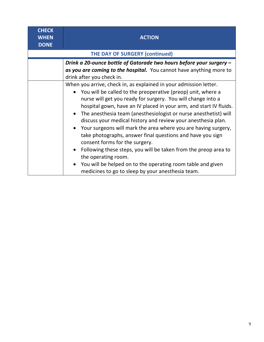| <b>CHECK</b><br><b>WHEN</b><br><b>DONE</b> | <b>ACTION</b>                                                                                                                                                                                                                                                                                                                                                                                                                                                                                                                                                                                                                                                                                                                                                                                                 |  |  |  |  |  |  |  |  |
|--------------------------------------------|---------------------------------------------------------------------------------------------------------------------------------------------------------------------------------------------------------------------------------------------------------------------------------------------------------------------------------------------------------------------------------------------------------------------------------------------------------------------------------------------------------------------------------------------------------------------------------------------------------------------------------------------------------------------------------------------------------------------------------------------------------------------------------------------------------------|--|--|--|--|--|--|--|--|
| <b>THE DAY OF SURGERY (continued)</b>      |                                                                                                                                                                                                                                                                                                                                                                                                                                                                                                                                                                                                                                                                                                                                                                                                               |  |  |  |  |  |  |  |  |
|                                            | Drink a 20-ounce bottle of Gatorade two hours before your surgery -<br>as you are coming to the hospital. You cannot have anything more to<br>drink after you check in.                                                                                                                                                                                                                                                                                                                                                                                                                                                                                                                                                                                                                                       |  |  |  |  |  |  |  |  |
|                                            | When you arrive, check in, as explained in your admission letter.<br>You will be called to the preoperative (preop) unit, where a<br>nurse will get you ready for surgery. You will change into a<br>hospital gown, have an IV placed in your arm, and start IV fluids.<br>• The anesthesia team (anesthesiologist or nurse anesthetist) will<br>discuss your medical history and review your anesthesia plan.<br>• Your surgeons will mark the area where you are having surgery,<br>take photographs, answer final questions and have you sign<br>consent forms for the surgery.<br>Following these steps, you will be taken from the preop area to<br>the operating room.<br>You will be helped on to the operating room table and given<br>$\bullet$<br>medicines to go to sleep by your anesthesia team. |  |  |  |  |  |  |  |  |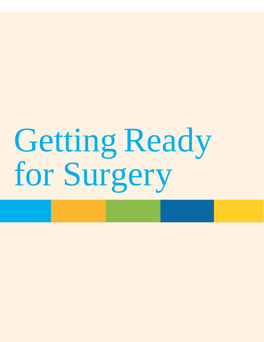# Getting Ready for Surgery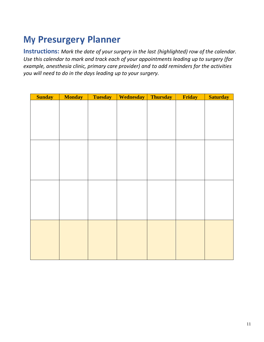### **My Presurgery Planner**

**Instructions:** *Mark the date of your surgery in the last (highlighted) row of the calendar. Use this calendar to mark and track each of your appointments leading up to surgery (for example, anesthesia clinic, primary care provider) and to add reminders for the activities you will need to do in the days leading up to your surgery.*

| <b>Sunday</b> | <b>Monday</b> | <b>Tuesday</b> | <b>Wednesday</b> | <b>Thursday</b> | Friday | <b>Saturday</b> |
|---------------|---------------|----------------|------------------|-----------------|--------|-----------------|
|               |               |                |                  |                 |        |                 |
|               |               |                |                  |                 |        |                 |
|               |               |                |                  |                 |        |                 |
|               |               |                |                  |                 |        |                 |
|               |               |                |                  |                 |        |                 |
|               |               |                |                  |                 |        |                 |
|               |               |                |                  |                 |        |                 |
|               |               |                |                  |                 |        |                 |
|               |               |                |                  |                 |        |                 |
|               |               |                |                  |                 |        |                 |
|               |               |                |                  |                 |        |                 |
|               |               |                |                  |                 |        |                 |
|               |               |                |                  |                 |        |                 |
|               |               |                |                  |                 |        |                 |
|               |               |                |                  |                 |        |                 |
|               |               |                |                  |                 |        |                 |
|               |               |                |                  |                 |        |                 |
|               |               |                |                  |                 |        |                 |
|               |               |                |                  |                 |        |                 |
|               |               |                |                  |                 |        |                 |
|               |               |                |                  |                 |        |                 |
|               |               |                |                  |                 |        |                 |
|               |               |                |                  |                 |        |                 |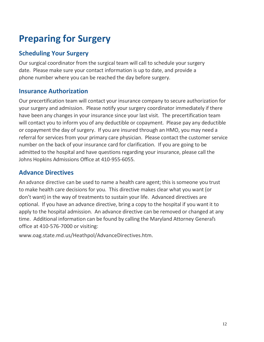## **Preparing for Surgery**

#### **Scheduling Your Surgery**

Our surgical coordinator from the surgical team will call to schedule your surgery date. Please make sure your contact information is up to date, and provide a phone number where you can be reached the day before surgery.

#### **Insurance Authorization**

Our precertification team will contact your insurance company to secure authorization for your surgery and admission. Please notify your surgery coordinator immediately if there have been any changes in your insurance since your last visit. The precertification team will contact you to inform you of any deductible or copayment. Please pay any deductible or copayment the day of surgery. If you are insured through an HMO, you may need a referral for services from your primary care physician. Please contact the customer service number on the back of your insurance card for clarification. If you are going to be admitted to the hospital and have questions regarding your insurance, please call the Johns Hopkins Admissions Office at 410-955-6055.

#### **Advance Directives**

An advance directive can be used to name a health care agent; this is someone you trust to make health care decisions for you. This directive makes clear what you want (or don't want) in the way of treatments to sustain your life. Advanced directives are optional. If you have an advance directive, bring a copy to the hospital if you want it to apply to the hospital admission. An advance directive can be removed or changed at any time. Additional information can be found by calling the Maryland Attorney General's office at 410-576-7000 or visiting:

[www.oag.state.md.us/Heathpol/AdvanceDirectives.htm.](http://www.oag.state.md.us/Heathpol/AdvanceDirectives.htm)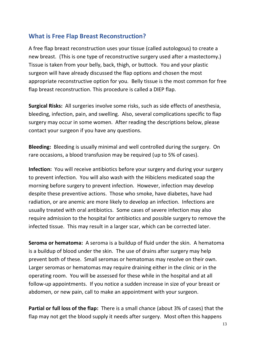#### **What is Free Flap Breast Reconstruction?**

A free flap breast reconstruction uses your tissue (called autologous) to create a new breast. (This is one type of reconstructive surgery used after a mastectomy.) Tissue is taken from your belly, back, thigh, or buttock. You and your plastic surgeon will have already discussed the flap options and chosen the most appropriate reconstructive option for you. Belly tissue is the most common for free flap breast reconstruction. This procedure is called a DIEP flap.

**Surgical Risks:** All surgeries involve some risks, such as side effects of anesthesia, bleeding, infection, pain, and swelling. Also, several complications specific to flap surgery may occur in some women. After reading the descriptions below, please contact your surgeon if you have any questions.

**Bleeding:** Bleeding is usually minimal and well controlled during the surgery. On rare occasions, a blood transfusion may be required (up to 5% of cases).

**Infection:** You will receive antibiotics before your surgery and during your surgery to prevent infection. You will also wash with the Hibiclens medicated soap the morning before surgery to prevent infection. However, infection may develop despite these preventive actions. Those who smoke, have diabetes, have had radiation, or are anemic are more likely to develop an infection. Infections are usually treated with oral antibiotics. Some cases of severe infection may also require admission to the hospital for antibiotics and possible surgery to remove the infected tissue. This may result in a larger scar, which can be corrected later.

**Seroma or hematoma:** A seroma is a buildup of fluid under the skin. A hematoma is a buildup of blood under the skin. The use of drains after surgery may help prevent both of these. Small seromas or hematomas may resolve on their own. Larger seromas or hematomas may require draining either in the clinic or in the operating room. You will be assessed for these while in the hospital and at all follow-up appointments. If you notice a sudden increase in size of your breast or abdomen, or new pain, call to make an appointment with your surgeon.

**Partial or full loss of the flap:** There is a small chance (about 3% of cases) that the flap may not get the blood supply it needs after surgery. Most often this happens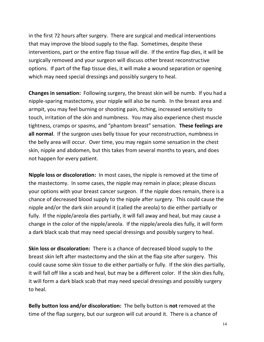in the first 72 hours after surgery. There are surgical and medical interventions that may improve the blood supply to the flap. Sometimes, despite these interventions, part or the entire flap tissue will die. If the entire flap dies, it will be surgically removed and your surgeon will discuss other breast reconstructive options. If part of the flap tissue dies, it will make a wound separation or opening which may need special dressings and possibly surgery to heal.

**Changes in sensation:** Following surgery, the breast skin will be numb. If you had a nipple-sparing mastectomy, your nipple will also be numb. In the breast area and armpit, you may feel burning or shooting pain, itching, increased sensitivity to touch, irritation of the skin and numbness. You may also experience chest muscle tightness, cramps or spasms, and "phantom breast" sensation. **These feelings are all normal**. If the surgeon uses belly tissue for your reconstruction, numbness in the belly area will occur. Over time, you may regain some sensation in the chest skin, nipple and abdomen, but this takes from several months to years, and does not happen for every patient.

**Nipple loss or discoloration:** In most cases, the nipple is removed at the time of the mastectomy. In some cases, the nipple may remain in place; please discuss your options with your breast cancer surgeon. If the nipple does remain, there is a chance of decreased blood supply to the nipple after surgery. This could cause the nipple and/or the dark skin around it (called the areola) to die either partially or fully. If the nipple/areola dies partially, it will fall away and heal, but may cause a change in the color of the nipple/areola. If the nipple/areola dies fully, it will form a dark black scab that may need special dressings and possibly surgery to heal.

**Skin loss or discoloration:** There is a chance of decreased blood supply to the breast skin left after mastectomy and the skin at the flap site after surgery. This could cause some skin tissue to die either partially or fully. If the skin dies partially, it will fall off like a scab and heal, but may be a different color. If the skin dies fully, it will form a dark black scab that may need special dressings and possibly surgery to heal.

**Belly button loss and/or discoloration:** The belly button is **not** removed at the time of the flap surgery, but our surgeon will cut around it. There is a chance of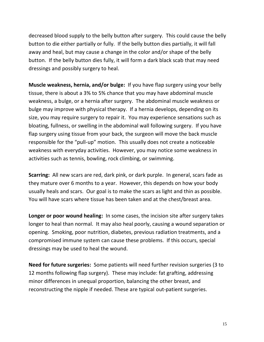decreased blood supply to the belly button after surgery. This could cause the belly button to die either partially or fully. If the belly button dies partially, it will fall away and heal, but may cause a change in the color and/or shape of the belly button. If the belly button dies fully, it will form a dark black scab that may need dressings and possibly surgery to heal.

**Muscle weakness, hernia, and/or bulge:** If you have flap surgery using your belly tissue, there is about a 3% to 5% chance that you may have abdominal muscle weakness, a bulge, or a hernia after surgery. The abdominal muscle weakness or bulge may improve with physical therapy. If a hernia develops, depending on its size, you may require surgery to repair it. You may experience sensations such as bloating, fullness, or swelling in the abdominal wall following surgery. If you have flap surgery using tissue from your back, the surgeon will move the back muscle responsible for the "pull-up" motion. This usually does not create a noticeable weakness with everyday activities. However, you may notice some weakness in activities such as tennis, bowling, rock climbing, or swimming.

**Scarring:** All new scars are red, dark pink, or dark purple. In general, scars fade as they mature over 6 months to a year. However, this depends on how your body usually heals and scars. Our goal is to make the scars as light and thin as possible. You will have scars where tissue has been taken and at the chest/breast area.

**Longer or poor wound healing:** In some cases, the incision site after surgery takes longer to heal than normal. It may also heal poorly, causing a wound separation or opening. Smoking, poor nutrition, diabetes, previous radiation treatments, and a compromised immune system can cause these problems. If this occurs, special dressings may be used to heal the wound.

**Need for future surgeries:** Some patients will need further revision surgeries (3 to 12 months following flap surgery). These may include: fat grafting, addressing minor differences in unequal proportion, balancing the other breast, and reconstructing the nipple if needed. These are typical out-patient surgeries.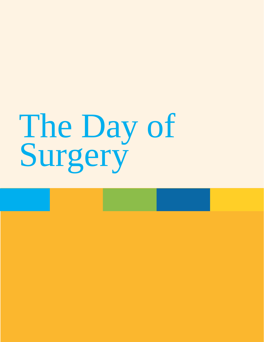# The Day of Surgery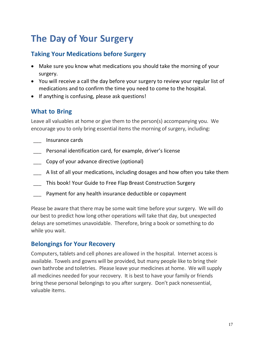### **The Day of Your Surgery**

#### **Taking Your Medications before Surgery**

- Make sure you know what medications you should take the morning of your surgery.
- You will receive a call the day before your surgery to review your regular list of medications and to confirm the time you need to come to the hospital.
- If anything is confusing, please ask questions!

#### **What to Bring**

Leave all valuables at home or give them to the person(s) accompanying you. We encourage you to only bring essential items the morning of surgery, including:

- \_\_\_ Insurance cards
- Personal identification card, for example, driver's license
- Copy of your advance directive (optional)
- A list of all your medications, including dosages and how often you take them
- This book! Your Guide to Free Flap Breast Construction Surgery
- Payment for any health insurance deductible or copayment

Please be aware that there may be some wait time before your surgery. We will do our best to predict how long other operations will take that day, but unexpected delays are sometimes unavoidable. Therefore, bring a book or something to do while you wait.

#### **Belongings for Your Recovery**

Computers, tablets and cell phones are allowed in the hospital. Internet access is available. Towels and gowns will be provided, but many people like to bring their own bathrobe and toiletries. Please leave your medicines at home. We will supply all medicines needed for your recovery. It is best to have your family or friends bring these personal belongings to you after surgery. Don't pack nonessential, valuable items.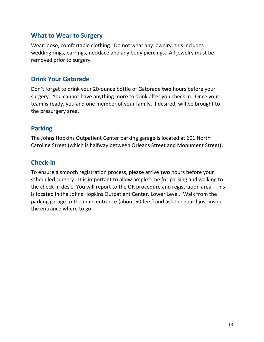#### **What to Wear to Surgery**

Wear loose, comfortable clothing. Do not wear any jewelry; this includes wedding rings, earrings, necklace and any body piercings. All jewelry must be removed prior to surgery.

#### **Drink Your Gatorade**

Don't forget to drink your 20-ounce bottle of Gatorade **two** hours before your surgery. You cannot have anything more to drink after you check in. Once your team is ready, you and one member of your family, if desired, will be brought to the presurgery area.

#### **Parking**

The Johns Hopkins Outpatient Center parking garage is located at 601 North Caroline Street (which is halfway between Orleans Street and Monument Street).

#### **Check-In**

To ensure a smooth registration process, please arrive **two** hours before your scheduled surgery. It is important to allow ample time for parking and walking to the check-in desk. You will report to the OR procedure and registration area. This is located in the Johns Hopkins Outpatient Center, Lower Level. Walk from the parking garage to the main entrance (about 50 feet) and ask the guard just inside the entrance where to go.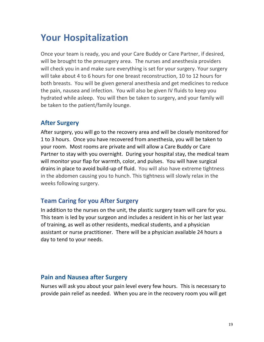### **Your Hospitalization**

Once your team is ready, you and your Care Buddy or Care Partner, if desired, will be brought to the presurgery area. The nurses and anesthesia providers will check you in and make sure everything is set for your surgery. Your surgery will take about 4 to 6 hours for one breast reconstruction, 10 to 12 hours for both breasts. You will be given general anesthesia and get medicines to reduce the pain, nausea and infection. You will also be given IV fluids to keep you hydrated while asleep. You will then be taken to surgery, and your family will be taken to the patient/family lounge.

#### **After Surgery**

After surgery, you will go to the recovery area and will be closely monitored for 1 to 3 hours. Once you have recovered from anesthesia, you will be taken to your room. Most rooms are private and will allow a Care Buddy or Care Partner to stay with you overnight. During your hospital stay, the medical team will monitor your flap for warmth, color, and pulses. You will have surgical drains in place to avoid build-up of fluid. You will also have extreme tightness in the abdomen causing you to hunch. This tightness will slowly relax in the weeks following surgery.

#### **Team Caring for you After Surgery**

In addition to the nurses on the unit, the plastic surgery team will care for you. This team is led by your surgeon and includes a resident in his or her last year of training, as well as other residents, medical students, and a physician assistant or nurse practitioner. There will be a physician available 24 hours a day to tend to your needs.

#### **Pain and Nausea after Surgery**

Nurses will ask you about your pain level every few hours. This is necessary to provide pain relief as needed. When you are in the recovery room you will get